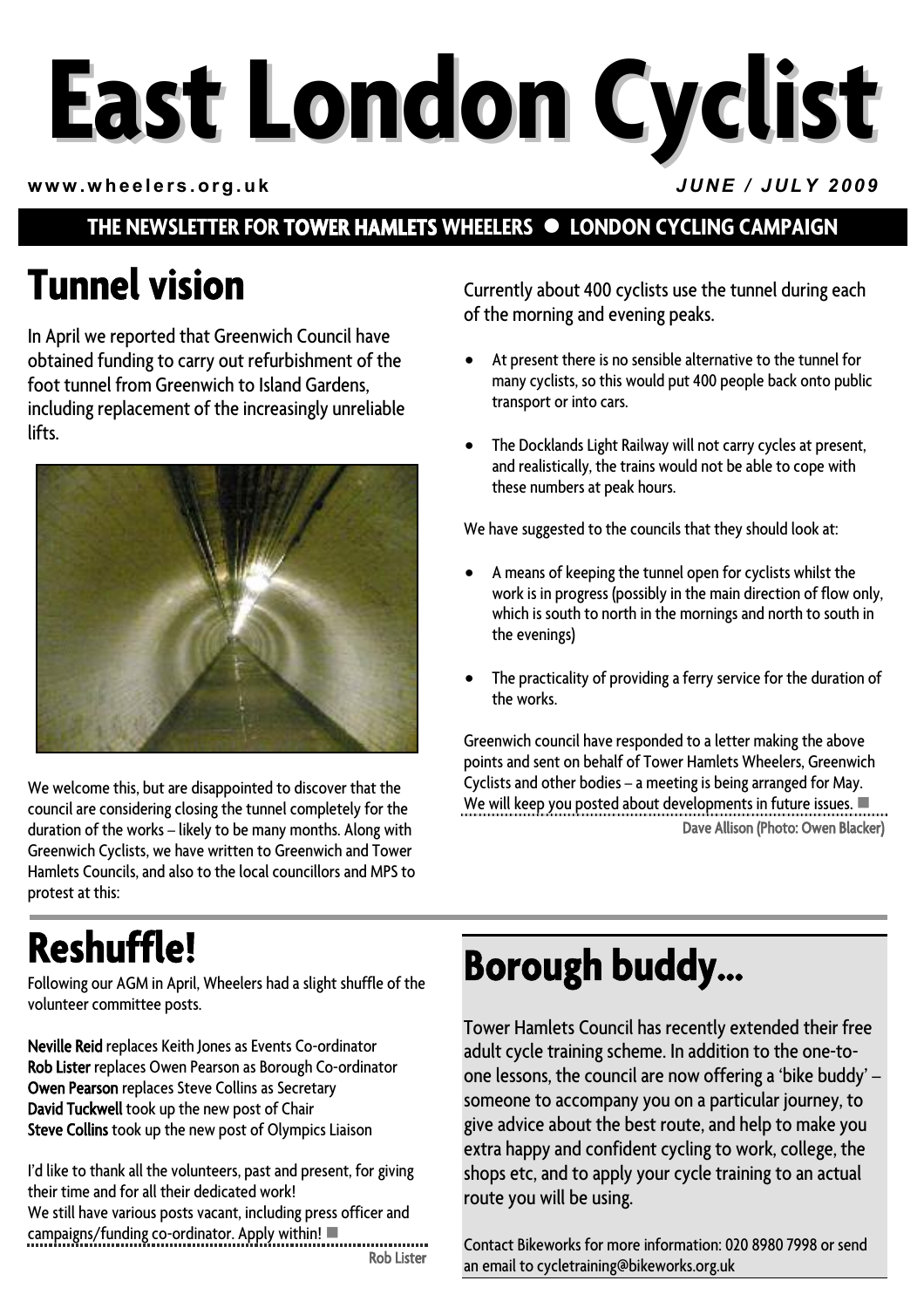# **East London Cyclist**

**www.wheelers.org.uk** *JUNE / JULY 2009*

#### **THE NEWSLETTER FOR TOWER HAMLETS WHEELERS**  $\bullet$  **LONDON CYCLING CAMPAIGN**

## **Tunnel vision**

In April we reported that Greenwich Council have obtained funding to carry out refurbishment of the foot tunnel from Greenwich to Island Gardens, including replacement of the increasingly unreliable lifts.



We welcome this, but are disappointed to discover that the council are considering closing the tunnel completely for the duration of the works – likely to be many months. Along with Greenwich Cyclists, we have written to Greenwich and Tower Hamlets Councils, and also to the local councillors and MPS to protest at this:

Currently about 400 cyclists use the tunnel during each of the morning and evening peaks.

- At present there is no sensible alternative to the tunnel for many cyclists, so this would put 400 people back onto public transport or into cars.
- The Docklands Light Railway will not carry cycles at present, and realistically, the trains would not be able to cope with these numbers at peak hours.

We have suggested to the councils that they should look at:

- A means of keeping the tunnel open for cyclists whilst the work is in progress (possibly in the main direction of flow only, which is south to north in the mornings and north to south in the evenings)
- The practicality of providing a ferry service for the duration of the works.

Greenwich council have responded to a letter making the above points and sent on behalf of Tower Hamlets Wheelers, Greenwich Cyclists and other bodies – a meeting is being arranged for May. We will keep you posted about developments in future issues.  $\blacksquare$ Dave Allison (Photo: Owen Blacker)

# **Reshuffle!**

Following our AGM in April, Wheelers had a slight shuffle of the volunteer committee posts.

Neville Reid replaces Keith Jones as Events Co-ordinator Rob Lister replaces Owen Pearson as Borough Co-ordinator Owen Pearson replaces Steve Collins as Secretary David Tuckwell took up the new post of Chair Steve Collins took up the new post of Olympics Liaison

I'd like to thank all the volunteers, past and present, for giving their time and for all their dedicated work! We still have various posts vacant, including press officer and  $c$ ampaigns/funding  $co$ -ordinator. Apply within! Rob Lister

# **Borough buddy…**

Tower Hamlets Council has recently extended their free adult cycle training scheme. In addition to the one-toone lessons, the council are now offering a 'bike buddy' – someone to accompany you on a particular journey, to give advice about the best route, and help to make you extra happy and confident cycling to work, college, the shops etc, and to apply your cycle training to an actual route you will be using.

Contact Bikeworks for more information: 020 8980 7998 or send an email to cycletraining@bikeworks.org.uk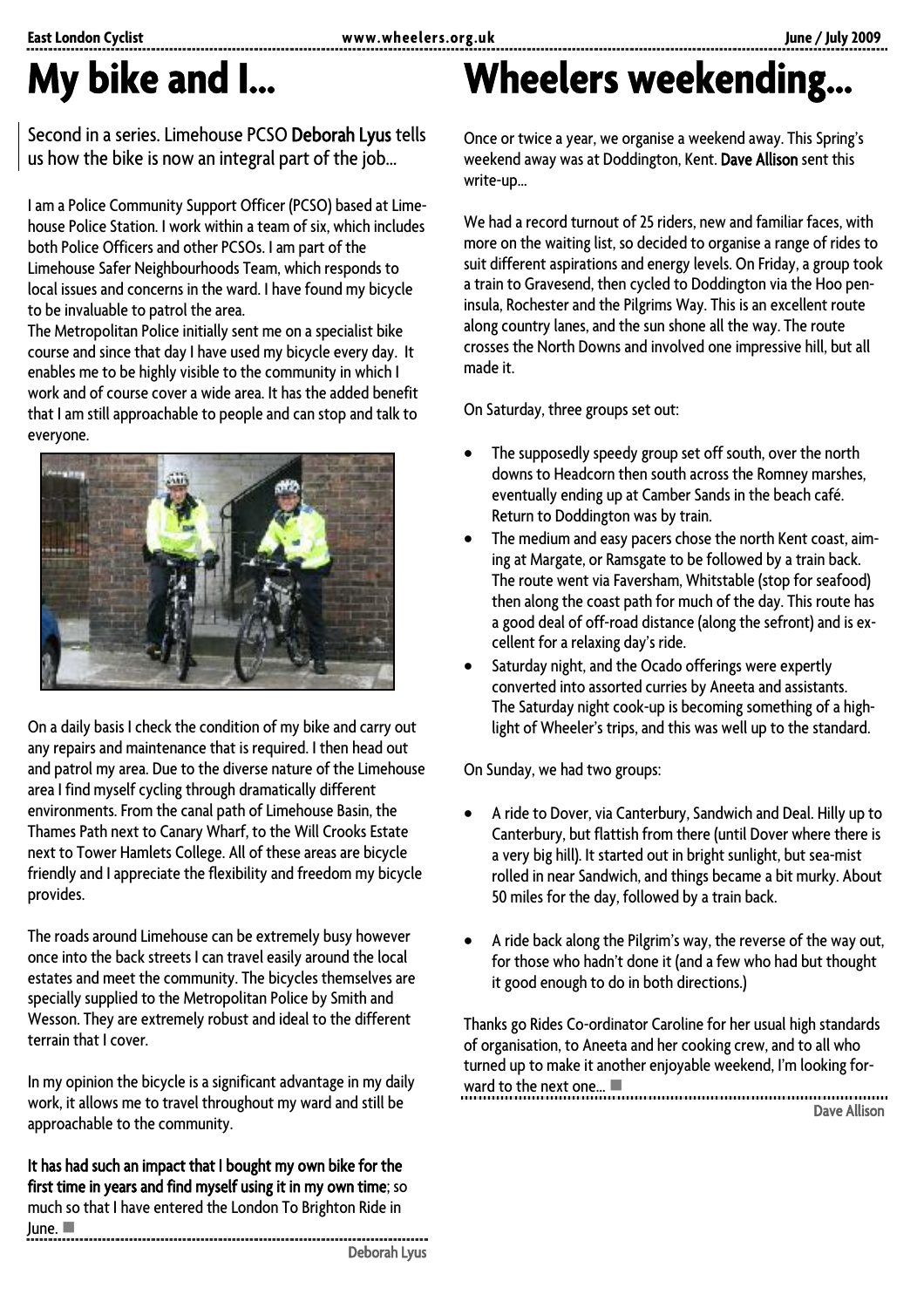### **My bike and I...**

Second in a series. Limehouse PCSO Deborah Lyus tells us how the bike is now an integral part of the job…

I am a Police Community Support Officer (PCSO) based at Limehouse Police Station. I work within a team of six, which includes both Police Officers and other PCSOs. I am part of the Limehouse Safer Neighbourhoods Team, which responds to local issues and concerns in the ward. I have found my bicycle to be invaluable to patrol the area.

The Metropolitan Police initially sent me on a specialist bike course and since that day I have used my bicycle every day. It enables me to be highly visible to the community in which I work and of course cover a wide area. It has the added benefit that I am still approachable to people and can stop and talk to everyone.



On a daily basis I check the condition of my bike and carry out any repairs and maintenance that is required. I then head out and patrol my area. Due to the diverse nature of the Limehouse area I find myself cycling through dramatically different environments. From the canal path of Limehouse Basin, the Thames Path next to Canary Wharf, to the Will Crooks Estate next to Tower Hamlets College. All of these areas are bicycle friendly and I appreciate the flexibility and freedom my bicycle provides.

The roads around Limehouse can be extremely busy however once into the back streets I can travel easily around the local estates and meet the community. The bicycles themselves are specially supplied to the Metropolitan Police by Smith and Wesson. They are extremely robust and ideal to the different terrain that I cover.

In my opinion the bicycle is a significant advantage in my daily work, it allows me to travel throughout my ward and still be approachable to the community.

It has had such an impact that I bought my own bike for the first time in years and find myself using it in my own time; so much so that I have entered the London To Brighton Ride in June.  $\blacksquare$ 

### **Wheelers weekending…**

Once or twice a year, we organise a weekend away. This Spring's weekend away was at Doddington, Kent. Dave Allison sent this write-up…

We had a record turnout of 25 riders, new and familiar faces, with more on the waiting list, so decided to organise a range of rides to suit different aspirations and energy levels. On Friday, a group took a train to Gravesend, then cycled to Doddington via the Hoo peninsula, Rochester and the Pilgrims Way. This is an excellent route along country lanes, and the sun shone all the way. The route crosses the North Downs and involved one impressive hill, but all made it.

On Saturday, three groups set out:

- The supposedly speedy group set off south, over the north downs to Headcorn then south across the Romney marshes, eventually ending up at Camber Sands in the beach café. Return to Doddington was by train.
- The medium and easy pacers chose the north Kent coast, aiming at Margate, or Ramsgate to be followed by a train back. The route went via Faversham, Whitstable (stop for seafood) then along the coast path for much of the day. This route has a good deal of off-road distance (along the sefront) and is excellent for a relaxing day's ride.
- Saturday night, and the Ocado offerings were expertly converted into assorted curries by Aneeta and assistants. The Saturday night cook-up is becoming something of a highlight of Wheeler's trips, and this was well up to the standard.

On Sunday, we had two groups:

- A ride to Dover, via Canterbury, Sandwich and Deal. Hilly up to Canterbury, but flattish from there (until Dover where there is a very big hill). It started out in bright sunlight, but sea-mist rolled in near Sandwich, and things became a bit murky. About 50 miles for the day, followed by a train back.
- A ride back along the Pilgrim's way, the reverse of the way out, for those who hadn't done it (and a few who had but thought it good enough to do in both directions.)

Thanks go Rides Co-ordinator Caroline for her usual high standards of organisation, to Aneeta and her cooking crew, and to all who turned up to make it another enjoyable weekend, I'm looking forward to the next one...  $\blacksquare$ Dave Allison

Deborah Lyus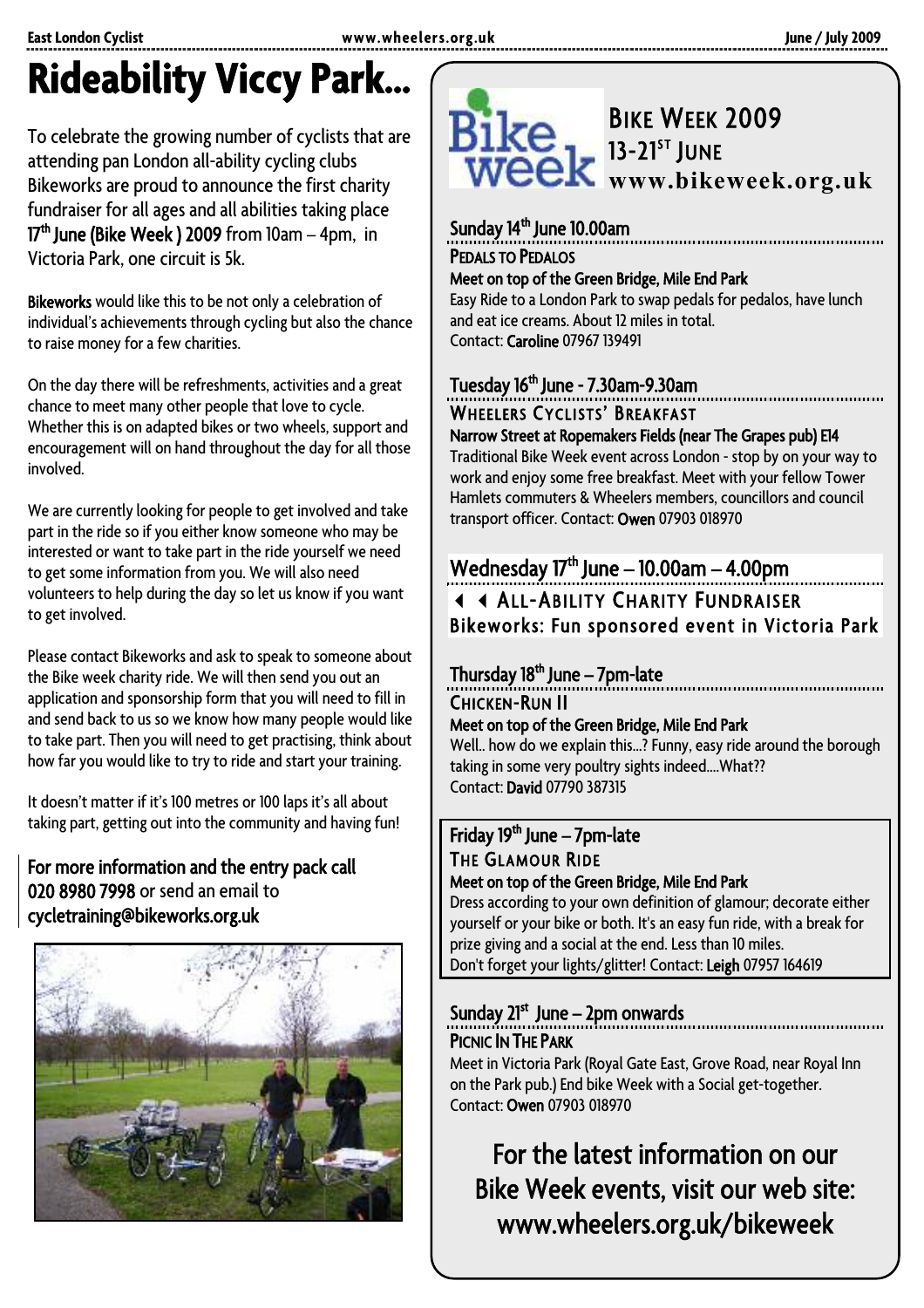# **Rideability Viccy Park…**

To celebrate the growing number of cyclists that are attending pan London all-ability cycling clubs Bikeworks are proud to announce the first charity fundraiser for all ages and all abilities taking place  $17<sup>th</sup>$  June (Bike Week) 2009 from  $10am - 4pm$ , in Victoria Park, one circuit is 5k.

Bikeworks would like this to be not only a celebration of individual's achievements through cycling but also the chance to raise money for a few charities.

On the day there will be refreshments, activities and a great chance to meet many other people that love to cycle. Whether this is on adapted bikes or two wheels, support and encouragement will on hand throughout the day for all those involved.

We are currently looking for people to get involved and take part in the ride so if you either know someone who may be interested or want to take part in the ride yourself we need to get some information from you. We will also need volunteers to help during the day so let us know if you want to get involved.

Please contact Bikeworks and ask to speak to someone about the Bike week charity ride. We will then send you out an application and sponsorship form that you will need to fill in and send back to us so we know how many people would like to take part. Then you will need to get practising, think about how far you would like to try to ride and start your training.

It doesn't matter if it's 100 metres or 100 laps it's all about taking part, getting out into the community and having fun!

#### For more information and the entry pack call 020 8980 7998 or send an email to cycletraining@bikeworks.org.uk





### Sunday 14<sup>th</sup> June 10.00am

PEDALS TO PEDALOS<br>Meet on top of the Green Bridge, Mile End Park Easy Ride to a London Park to swap pedals for pedalos, have lunch and eat ice creams. About 12 miles in total. Contact: Caroline 07967 139491

#### Tuesday 16<sup>th</sup> June - 7.30am-9.30am

### WHEELERS CYCLISTS' BREAKFAST<br>Narrow Street at Ropemakers Fields (near The Grapes pub) E14

Traditional Bike Week event across London - stop by on your way to work and enjoy some free breakfast. Meet with your fellow Tower Hamlets commuters & Wheelers members, councillors and council transport officer. Contact: Owen 07903 018970

#### Wednesday  $17<sup>th</sup>$  June – 10.00am – 4.00pm **4 4 ALL-ABILITY CHARITY FUNDRAISER** Bikeworks: Fun sponsored event in Victoria Park

#### Thursday  $18<sup>th</sup>$  June – 7pm-late

CHICKEN-RUN II

#### Meet on top of the Green Bridge, Mile End Park

Well.. how do we explain this…? Funny, easy ride around the borough taking in some very poultry sights indeed….What?? Contact: David 07790 387315

### Friday 19<sup>th</sup> June – 7pm-late THE GLAMOUR RIDE<br>Meet on top of the Green Bridge, Mile End Park

Dress according to your own definition of glamour; decorate either yourself or your bike or both. It's an easy fun ride, with a break for prize giving and a social at the end. Less than 10 miles. Don't forget your lights/glitter! Contact: Leigh 07957 164619

# Sunday 21<sup>st</sup> June – 2pm onwards

PICNIC **IN THE PARK**<br>Meet in Victoria Park (Royal Gate East, Grove Road, near Royal Inn on the Park pub.) End bike Week with a Social get-together. Contact: Owen 07903 018970

### For the latest information on our Bike Week events, visit our web site: www.wheelers.org.uk/bikeweek